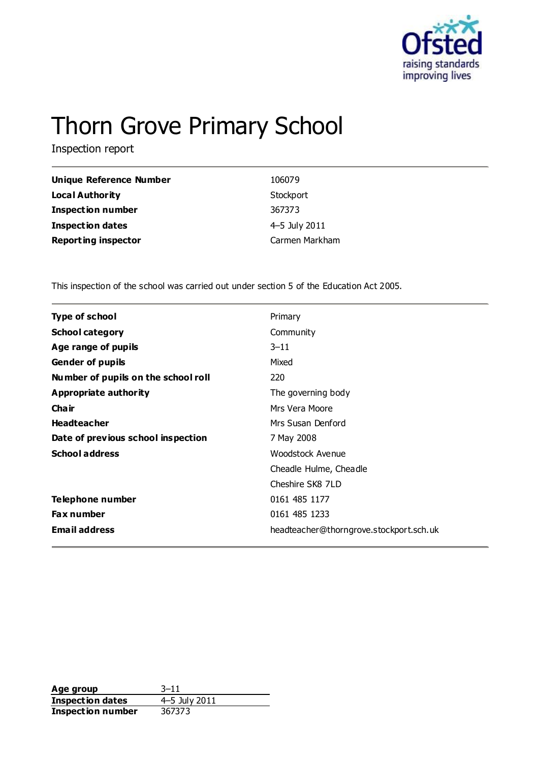

# Thorn Grove Primary School

Inspection report

| Unique Reference Number    | 106079         |
|----------------------------|----------------|
| <b>Local Authority</b>     | Stockport      |
| <b>Inspection number</b>   | 367373         |
| <b>Inspection dates</b>    | 4-5 July 2011  |
| <b>Reporting inspector</b> | Carmen Markham |

This inspection of the school was carried out under section 5 of the Education Act 2005.

| <b>Type of school</b>               | Primary                                 |
|-------------------------------------|-----------------------------------------|
| <b>School category</b>              | Community                               |
| Age range of pupils                 | $3 - 11$                                |
| <b>Gender of pupils</b>             | Mixed                                   |
| Number of pupils on the school roll | 220                                     |
| Appropriate authority               | The governing body                      |
| Cha ir                              | Mrs Vera Moore                          |
| <b>Headteacher</b>                  | Mrs Susan Denford                       |
| Date of previous school inspection  | 7 May 2008                              |
| <b>School address</b>               | Woodstock Avenue                        |
|                                     | Cheadle Hulme, Cheadle                  |
|                                     | Cheshire SK8 7LD                        |
| Telephone number                    | 0161 485 1177                           |
| <b>Fax number</b>                   | 0161 485 1233                           |
| <b>Email address</b>                | headteacher@thorngrove.stockport.sch.uk |

**Age group** 3-11<br> **Inspection dates** 4-5 July 2011 **Inspection dates** 4–5 July<br>**Inspection number** 367373 **Inspection number**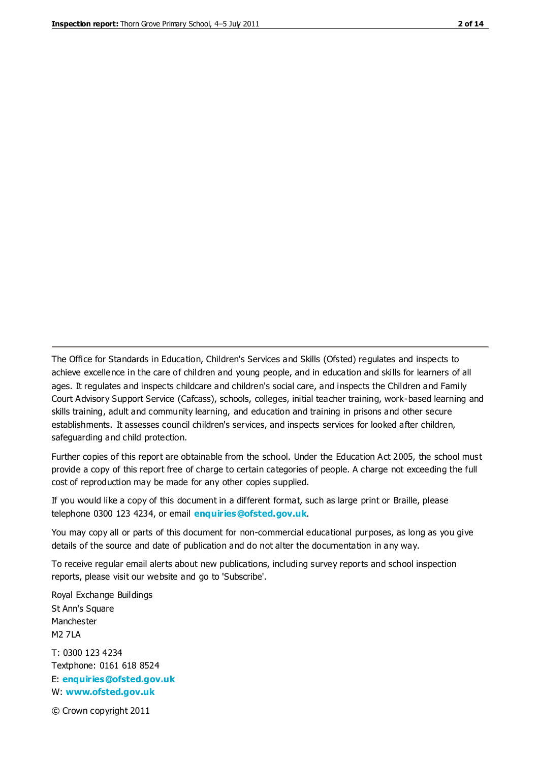The Office for Standards in Education, Children's Services and Skills (Ofsted) regulates and inspects to achieve excellence in the care of children and young people, and in education and skills for learners of all ages. It regulates and inspects childcare and children's social care, and inspects the Children and Family Court Advisory Support Service (Cafcass), schools, colleges, initial teacher training, work-based learning and skills training, adult and community learning, and education and training in prisons and other secure establishments. It assesses council children's services, and inspects services for looked after children, safeguarding and child protection.

Further copies of this report are obtainable from the school. Under the Education Act 2005, the school must provide a copy of this report free of charge to certain categories of people. A charge not exceeding the full cost of reproduction may be made for any other copies supplied.

If you would like a copy of this document in a different format, such as large print or Braille, please telephone 0300 123 4234, or email **[enquiries@ofsted.gov.uk](mailto:enquiries@ofsted.gov.uk)**.

You may copy all or parts of this document for non-commercial educational purposes, as long as you give details of the source and date of publication and do not alter the documentation in any way.

To receive regular email alerts about new publications, including survey reports and school inspection reports, please visit our website and go to 'Subscribe'.

Royal Exchange Buildings St Ann's Square Manchester M2 7LA T: 0300 123 4234 Textphone: 0161 618 8524 E: **[enquiries@ofsted.gov.uk](mailto:enquiries@ofsted.gov.uk)**

W: **[www.ofsted.gov.uk](http://www.ofsted.gov.uk/)**

© Crown copyright 2011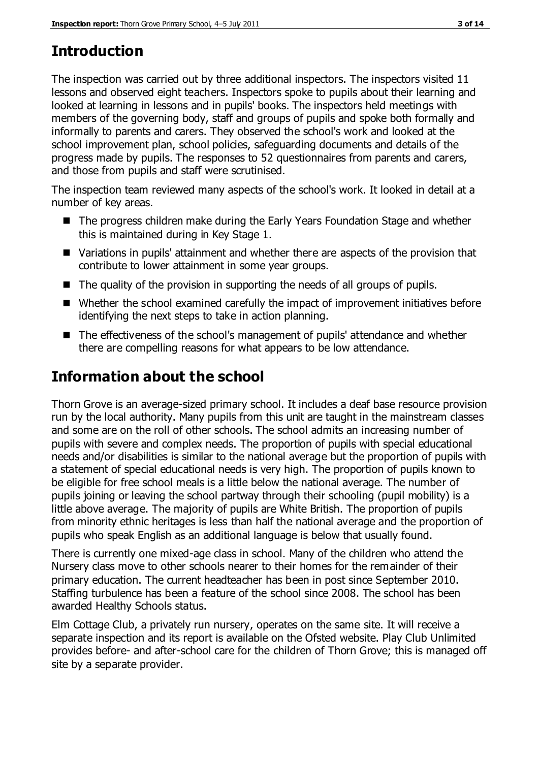# **Introduction**

The inspection was carried out by three additional inspectors. The inspectors visited 11 lessons and observed eight teachers. Inspectors spoke to pupils about their learning and looked at learning in lessons and in pupils' books. The inspectors held meetings with members of the governing body, staff and groups of pupils and spoke both formally and informally to parents and carers. They observed the school's work and looked at the school improvement plan, school policies, safeguarding documents and details of the progress made by pupils. The responses to 52 questionnaires from parents and carers, and those from pupils and staff were scrutinised.

The inspection team reviewed many aspects of the school's work. It looked in detail at a number of key areas.

- The progress children make during the Early Years Foundation Stage and whether this is maintained during in Key Stage 1.
- Variations in pupils' attainment and whether there are aspects of the provision that contribute to lower attainment in some year groups.
- The quality of the provision in supporting the needs of all groups of pupils.
- Whether the school examined carefully the impact of improvement initiatives before identifying the next steps to take in action planning.
- The effectiveness of the school's management of pupils' attendance and whether there are compelling reasons for what appears to be low attendance.

# **Information about the school**

Thorn Grove is an average-sized primary school. It includes a deaf base resource provision run by the local authority. Many pupils from this unit are taught in the mainstream classes and some are on the roll of other schools. The school admits an increasing number of pupils with severe and complex needs. The proportion of pupils with special educational needs and/or disabilities is similar to the national average but the proportion of pupils with a statement of special educational needs is very high. The proportion of pupils known to be eligible for free school meals is a little below the national average. The number of pupils joining or leaving the school partway through their schooling (pupil mobility) is a little above average. The majority of pupils are White British. The proportion of pupils from minority ethnic heritages is less than half the national average and the proportion of pupils who speak English as an additional language is below that usually found.

There is currently one mixed-age class in school. Many of the children who attend the Nursery class move to other schools nearer to their homes for the remainder of their primary education. The current headteacher has been in post since September 2010. Staffing turbulence has been a feature of the school since 2008. The school has been awarded Healthy Schools status.

Elm Cottage Club, a privately run nursery, operates on the same site. It will receive a separate inspection and its report is available on the Ofsted website. Play Club Unlimited provides before- and after-school care for the children of Thorn Grove; this is managed off site by a separate provider.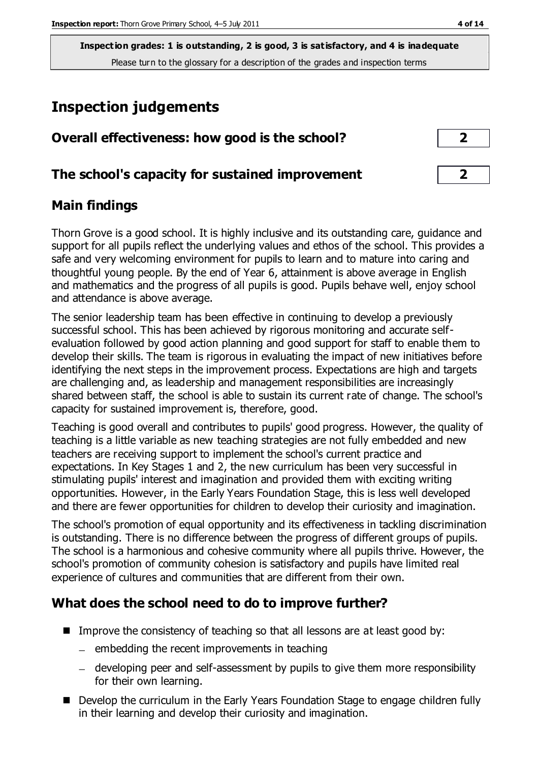# **Inspection judgements**

| Overall effectiveness: how good is the school?  |  |
|-------------------------------------------------|--|
| The school's capacity for sustained improvement |  |

# **Main findings**

Thorn Grove is a good school. It is highly inclusive and its outstanding care, guidance and support for all pupils reflect the underlying values and ethos of the school. This provides a safe and very welcoming environment for pupils to learn and to mature into caring and thoughtful young people. By the end of Year 6, attainment is above average in English and mathematics and the progress of all pupils is good. Pupils behave well, enjoy school and attendance is above average.

The senior leadership team has been effective in continuing to develop a previously successful school. This has been achieved by rigorous monitoring and accurate selfevaluation followed by good action planning and good support for staff to enable them to develop their skills. The team is rigorous in evaluating the impact of new initiatives before identifying the next steps in the improvement process. Expectations are high and targets are challenging and, as leadership and management responsibilities are increasingly shared between staff, the school is able to sustain its current rate of change. The school's capacity for sustained improvement is, therefore, good.

Teaching is good overall and contributes to pupils' good progress. However, the quality of teaching is a little variable as new teaching strategies are not fully embedded and new teachers are receiving support to implement the school's current practice and expectations. In Key Stages 1 and 2, the new curriculum has been very successful in stimulating pupils' interest and imagination and provided them with exciting writing opportunities. However, in the Early Years Foundation Stage, this is less well developed and there are fewer opportunities for children to develop their curiosity and imagination.

The school's promotion of equal opportunity and its effectiveness in tackling discrimination is outstanding. There is no difference between the progress of different groups of pupils. The school is a harmonious and cohesive community where all pupils thrive. However, the school's promotion of community cohesion is satisfactory and pupils have limited real experience of cultures and communities that are different from their own.

# **What does the school need to do to improve further?**

- Improve the consistency of teaching so that all lessons are at least good by:
	- $-$  embedding the recent improvements in teaching
	- developing peer and self-assessment by pupils to give them more responsibility for their own learning.
- Develop the curriculum in the Early Years Foundation Stage to engage children fully in their learning and develop their curiosity and imagination.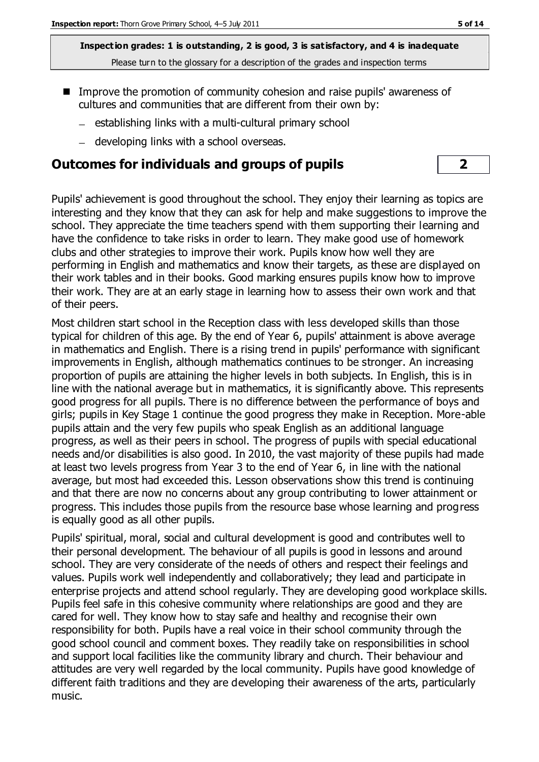- Improve the promotion of community cohesion and raise pupils' awareness of cultures and communities that are different from their own by:
	- establishing links with a multi-cultural primary school
	- developing links with a school overseas.

#### **Outcomes for individuals and groups of pupils 2**

Pupils' achievement is good throughout the school. They enjoy their learning as topics are interesting and they know that they can ask for help and make suggestions to improve the school. They appreciate the time teachers spend with them supporting their learning and have the confidence to take risks in order to learn. They make good use of homework clubs and other strategies to improve their work. Pupils know how well they are performing in English and mathematics and know their targets, as these are displayed on their work tables and in their books. Good marking ensures pupils know how to improve their work. They are at an early stage in learning how to assess their own work and that of their peers.

Most children start school in the Reception class with less developed skills than those typical for children of this age. By the end of Year 6, pupils' attainment is above average in mathematics and English. There is a rising trend in pupils' performance with significant improvements in English, although mathematics continues to be stronger. An increasing proportion of pupils are attaining the higher levels in both subjects. In English, this is in line with the national average but in mathematics, it is significantly above. This represents good progress for all pupils. There is no difference between the performance of boys and girls; pupils in Key Stage 1 continue the good progress they make in Reception. More-able pupils attain and the very few pupils who speak English as an additional language progress, as well as their peers in school. The progress of pupils with special educational needs and/or disabilities is also good. In 2010, the vast majority of these pupils had made at least two levels progress from Year 3 to the end of Year 6, in line with the national average, but most had exceeded this. Lesson observations show this trend is continuing and that there are now no concerns about any group contributing to lower attainment or progress. This includes those pupils from the resource base whose learning and progress is equally good as all other pupils.

Pupils' spiritual, moral, social and cultural development is good and contributes well to their personal development. The behaviour of all pupils is good in lessons and around school. They are very considerate of the needs of others and respect their feelings and values. Pupils work well independently and collaboratively; they lead and participate in enterprise projects and attend school regularly. They are developing good workplace skills. Pupils feel safe in this cohesive community where relationships are good and they are cared for well. They know how to stay safe and healthy and recognise their own responsibility for both. Pupils have a real voice in their school community through the good school council and comment boxes. They readily take on responsibilities in school and support local facilities like the community library and church. Their behaviour and attitudes are very well regarded by the local community. Pupils have good knowledge of different faith traditions and they are developing their awareness of the arts, particularly music.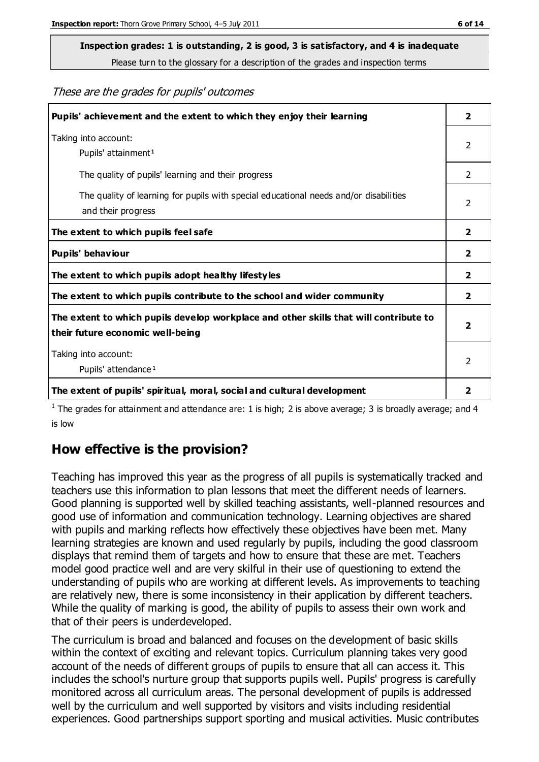# **Inspection grades: 1 is outstanding, 2 is good, 3 is satisfactory, and 4 is inadequate**

Please turn to the glossary for a description of the grades and inspection terms

These are the grades for pupils' outcomes

| Pupils' achievement and the extent to which they enjoy their learning                                                     | $\overline{2}$ |
|---------------------------------------------------------------------------------------------------------------------------|----------------|
| Taking into account:<br>Pupils' attainment <sup>1</sup>                                                                   | 2              |
| The quality of pupils' learning and their progress                                                                        | $\mathcal{P}$  |
| The quality of learning for pupils with special educational needs and/or disabilities<br>and their progress               | $\overline{2}$ |
| The extent to which pupils feel safe                                                                                      | $\mathbf{2}$   |
| Pupils' behaviour                                                                                                         | 2              |
| The extent to which pupils adopt healthy lifestyles                                                                       | 2              |
| The extent to which pupils contribute to the school and wider community                                                   | $\overline{2}$ |
| The extent to which pupils develop workplace and other skills that will contribute to<br>their future economic well-being |                |
| Taking into account:<br>Pupils' attendance <sup>1</sup>                                                                   | $\mathfrak{p}$ |
| The extent of pupils' spiritual, moral, social and cultural development                                                   | 2              |

<sup>1</sup> The grades for attainment and attendance are: 1 is high; 2 is above average; 3 is broadly average; and 4 is low

# **How effective is the provision?**

Teaching has improved this year as the progress of all pupils is systematically tracked and teachers use this information to plan lessons that meet the different needs of learners. Good planning is supported well by skilled teaching assistants, well-planned resources and good use of information and communication technology. Learning objectives are shared with pupils and marking reflects how effectively these objectives have been met. Many learning strategies are known and used regularly by pupils, including the good classroom displays that remind them of targets and how to ensure that these are met. Teachers model good practice well and are very skilful in their use of questioning to extend the understanding of pupils who are working at different levels. As improvements to teaching are relatively new, there is some inconsistency in their application by different teachers. While the quality of marking is good, the ability of pupils to assess their own work and that of their peers is underdeveloped.

The curriculum is broad and balanced and focuses on the development of basic skills within the context of exciting and relevant topics. Curriculum planning takes very good account of the needs of different groups of pupils to ensure that all can access it. This includes the school's nurture group that supports pupils well. Pupils' progress is carefully monitored across all curriculum areas. The personal development of pupils is addressed well by the curriculum and well supported by visitors and visits including residential experiences. Good partnerships support sporting and musical activities. Music contributes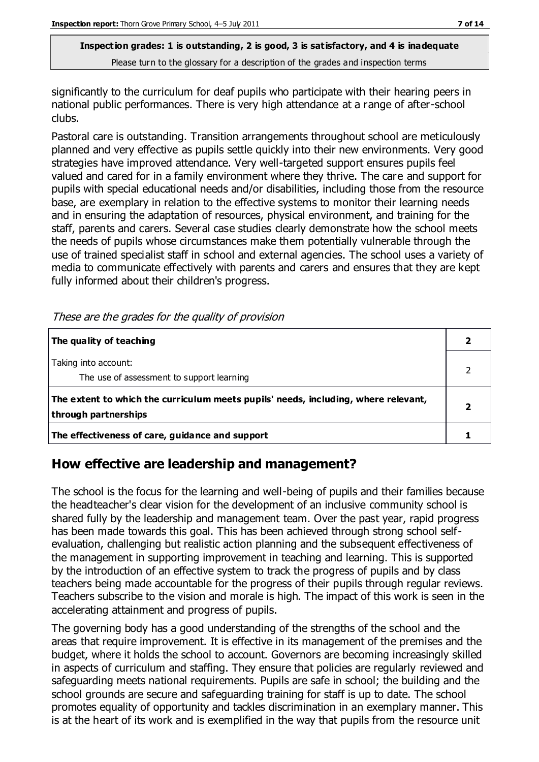significantly to the curriculum for deaf pupils who participate with their hearing peers in national public performances. There is very high attendance at a range of after-school clubs.

Pastoral care is outstanding. Transition arrangements throughout school are meticulously planned and very effective as pupils settle quickly into their new environments. Very good strategies have improved attendance. Very well-targeted support ensures pupils feel valued and cared for in a family environment where they thrive. The care and support for pupils with special educational needs and/or disabilities, including those from the resource base, are exemplary in relation to the effective systems to monitor their learning needs and in ensuring the adaptation of resources, physical environment, and training for the staff, parents and carers. Several case studies clearly demonstrate how the school meets the needs of pupils whose circumstances make them potentially vulnerable through the use of trained specialist staff in school and external agencies. The school uses a variety of media to communicate effectively with parents and carers and ensures that they are kept fully informed about their children's progress.

| The quality of teaching                                                                                    |  |
|------------------------------------------------------------------------------------------------------------|--|
| Taking into account:<br>The use of assessment to support learning                                          |  |
| The extent to which the curriculum meets pupils' needs, including, where relevant,<br>through partnerships |  |
| The effectiveness of care, guidance and support                                                            |  |

These are the grades for the quality of provision

# **How effective are leadership and management?**

The school is the focus for the learning and well-being of pupils and their families because the headteacher's clear vision for the development of an inclusive community school is shared fully by the leadership and management team. Over the past year, rapid progress has been made towards this goal. This has been achieved through strong school selfevaluation, challenging but realistic action planning and the subsequent effectiveness of the management in supporting improvement in teaching and learning. This is supported by the introduction of an effective system to track the progress of pupils and by class teachers being made accountable for the progress of their pupils through regular reviews. Teachers subscribe to the vision and morale is high. The impact of this work is seen in the accelerating attainment and progress of pupils.

The governing body has a good understanding of the strengths of the school and the areas that require improvement. It is effective in its management of the premises and the budget, where it holds the school to account. Governors are becoming increasingly skilled in aspects of curriculum and staffing. They ensure that policies are regularly reviewed and safeguarding meets national requirements. Pupils are safe in school; the building and the school grounds are secure and safeguarding training for staff is up to date. The school promotes equality of opportunity and tackles discrimination in an exemplary manner. This is at the heart of its work and is exemplified in the way that pupils from the resource unit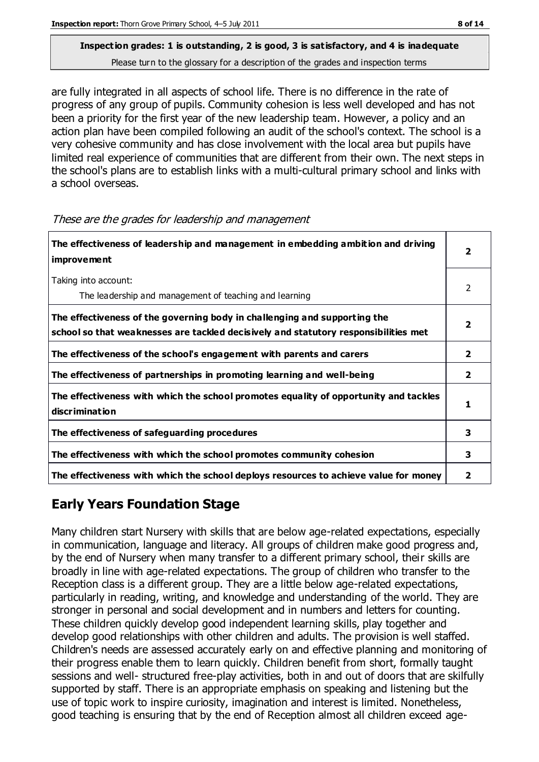are fully integrated in all aspects of school life. There is no difference in the rate of progress of any group of pupils. Community cohesion is less well developed and has not been a priority for the first year of the new leadership team. However, a policy and an action plan have been compiled following an audit of the school's context. The school is a very cohesive community and has close involvement with the local area but pupils have limited real experience of communities that are different from their own. The next steps in the school's plans are to establish links with a multi-cultural primary school and links with a school overseas.

| The effectiveness of leadership and management in embedding ambition and driving<br><b>improvement</b>                                                           |                |
|------------------------------------------------------------------------------------------------------------------------------------------------------------------|----------------|
| Taking into account:<br>The leadership and management of teaching and learning                                                                                   | 2              |
| The effectiveness of the governing body in challenging and supporting the<br>school so that weaknesses are tackled decisively and statutory responsibilities met | $\overline{2}$ |
| The effectiveness of the school's engagement with parents and carers                                                                                             | $\overline{2}$ |
| The effectiveness of partnerships in promoting learning and well-being                                                                                           | $\overline{2}$ |
| The effectiveness with which the school promotes equality of opportunity and tackles<br><b>discrimination</b>                                                    | 1              |
| The effectiveness of safeguarding procedures                                                                                                                     | 3              |
| The effectiveness with which the school promotes community cohesion                                                                                              | 3              |
| The effectiveness with which the school deploys resources to achieve value for money                                                                             | 2              |

These are the grades for leadership and management

# **Early Years Foundation Stage**

Many children start Nursery with skills that are below age-related expectations, especially in communication, language and literacy. All groups of children make good progress and, by the end of Nursery when many transfer to a different primary school, their skills are broadly in line with age-related expectations. The group of children who transfer to the Reception class is a different group. They are a little below age-related expectations, particularly in reading, writing, and knowledge and understanding of the world. They are stronger in personal and social development and in numbers and letters for counting. These children quickly develop good independent learning skills, play together and develop good relationships with other children and adults. The provision is well staffed. Children's needs are assessed accurately early on and effective planning and monitoring of their progress enable them to learn quickly. Children benefit from short, formally taught sessions and well- structured free-play activities, both in and out of doors that are skilfully supported by staff. There is an appropriate emphasis on speaking and listening but the use of topic work to inspire curiosity, imagination and interest is limited. Nonetheless, good teaching is ensuring that by the end of Reception almost all children exceed age-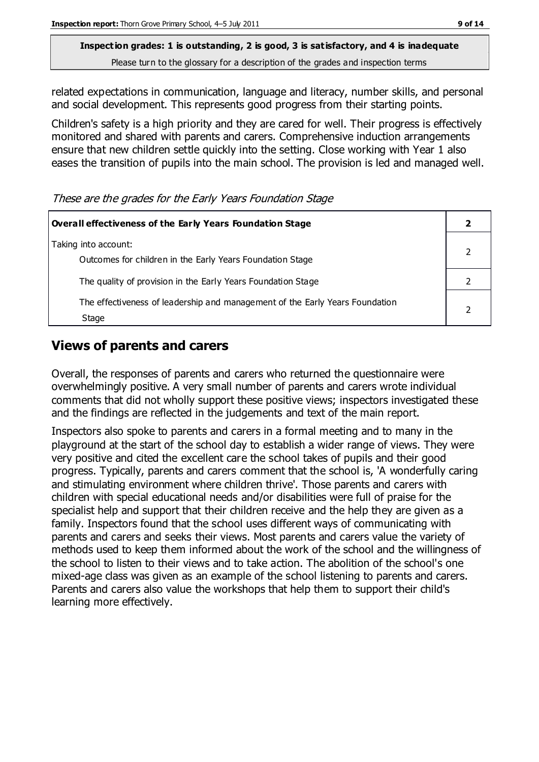# **Inspection grades: 1 is outstanding, 2 is good, 3 is satisfactory, and 4 is inadequate**

Please turn to the glossary for a description of the grades and inspection terms

related expectations in communication, language and literacy, number skills, and personal and social development. This represents good progress from their starting points.

Children's safety is a high priority and they are cared for well. Their progress is effectively monitored and shared with parents and carers. Comprehensive induction arrangements ensure that new children settle quickly into the setting. Close working with Year 1 also eases the transition of pupils into the main school. The provision is led and managed well.

These are the grades for the Early Years Foundation Stage

| Overall effectiveness of the Early Years Foundation Stage                             |  |
|---------------------------------------------------------------------------------------|--|
| Taking into account:<br>Outcomes for children in the Early Years Foundation Stage     |  |
| The quality of provision in the Early Years Foundation Stage                          |  |
| The effectiveness of leadership and management of the Early Years Foundation<br>Stage |  |

# **Views of parents and carers**

Overall, the responses of parents and carers who returned the questionnaire were overwhelmingly positive. A very small number of parents and carers wrote individual comments that did not wholly support these positive views; inspectors investigated these and the findings are reflected in the judgements and text of the main report.

Inspectors also spoke to parents and carers in a formal meeting and to many in the playground at the start of the school day to establish a wider range of views. They were very positive and cited the excellent care the school takes of pupils and their good progress. Typically, parents and carers comment that the school is, 'A wonderfully caring and stimulating environment where children thrive'. Those parents and carers with children with special educational needs and/or disabilities were full of praise for the specialist help and support that their children receive and the help they are given as a family. Inspectors found that the school uses different ways of communicating with parents and carers and seeks their views. Most parents and carers value the variety of methods used to keep them informed about the work of the school and the willingness of the school to listen to their views and to take action. The abolition of the school's one mixed-age class was given as an example of the school listening to parents and carers. Parents and carers also value the workshops that help them to support their child's learning more effectively.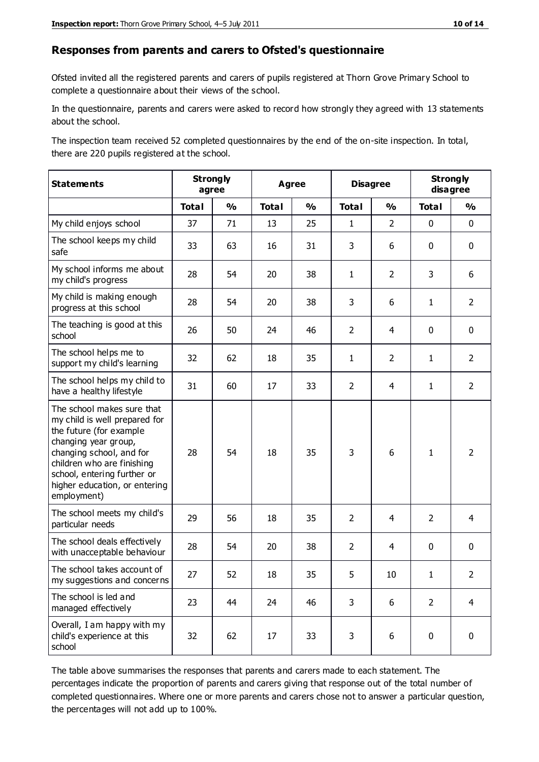#### **Responses from parents and carers to Ofsted's questionnaire**

Ofsted invited all the registered parents and carers of pupils registered at Thorn Grove Primary School to complete a questionnaire about their views of the school.

In the questionnaire, parents and carers were asked to record how strongly they agreed with 13 statements about the school.

The inspection team received 52 completed questionnaires by the end of the on-site inspection. In total, there are 220 pupils registered at the school.

| <b>Statements</b>                                                                                                                                                                                                                                       | <b>Strongly</b><br>agree |               | <b>Agree</b> |               | <b>Disagree</b> |                | <b>Strongly</b><br>disagree |                |
|---------------------------------------------------------------------------------------------------------------------------------------------------------------------------------------------------------------------------------------------------------|--------------------------|---------------|--------------|---------------|-----------------|----------------|-----------------------------|----------------|
|                                                                                                                                                                                                                                                         | <b>Total</b>             | $\frac{1}{2}$ | <b>Total</b> | $\frac{1}{2}$ | <b>Total</b>    | $\frac{1}{2}$  | <b>Total</b>                | $\frac{1}{2}$  |
| My child enjoys school                                                                                                                                                                                                                                  | 37                       | 71            | 13           | 25            | $\mathbf{1}$    | $\overline{2}$ | $\mathbf 0$                 | $\mathbf 0$    |
| The school keeps my child<br>safe                                                                                                                                                                                                                       | 33                       | 63            | 16           | 31            | 3               | 6              | $\mathbf 0$                 | $\mathbf 0$    |
| My school informs me about<br>my child's progress                                                                                                                                                                                                       | 28                       | 54            | 20           | 38            | $\mathbf{1}$    | $\overline{2}$ | 3                           | 6              |
| My child is making enough<br>progress at this school                                                                                                                                                                                                    | 28                       | 54            | 20           | 38            | 3               | 6              | $\mathbf{1}$                | $\overline{2}$ |
| The teaching is good at this<br>school                                                                                                                                                                                                                  | 26                       | 50            | 24           | 46            | $\overline{2}$  | 4              | 0                           | $\mathbf 0$    |
| The school helps me to<br>support my child's learning                                                                                                                                                                                                   | 32                       | 62            | 18           | 35            | $\mathbf{1}$    | $\overline{2}$ | $\mathbf{1}$                | $\overline{2}$ |
| The school helps my child to<br>have a healthy lifestyle                                                                                                                                                                                                | 31                       | 60            | 17           | 33            | $\overline{2}$  | $\overline{4}$ | $\mathbf{1}$                | $\overline{2}$ |
| The school makes sure that<br>my child is well prepared for<br>the future (for example<br>changing year group,<br>changing school, and for<br>children who are finishing<br>school, entering further or<br>higher education, or entering<br>employment) | 28                       | 54            | 18           | 35            | 3               | 6              | $\mathbf{1}$                | $\overline{2}$ |
| The school meets my child's<br>particular needs                                                                                                                                                                                                         | 29                       | 56            | 18           | 35            | $\overline{2}$  | 4              | 2                           | 4              |
| The school deals effectively<br>with unacceptable behaviour                                                                                                                                                                                             | 28                       | 54            | 20           | 38            | $\overline{2}$  | $\overline{4}$ | $\mathbf 0$                 | $\mathbf 0$    |
| The school takes account of<br>my suggestions and concerns                                                                                                                                                                                              | 27                       | 52            | 18           | 35            | 5               | 10             | 1                           | 2              |
| The school is led and<br>managed effectively                                                                                                                                                                                                            | 23                       | 44            | 24           | 46            | 3               | 6              | $\overline{2}$              | $\overline{4}$ |
| Overall, I am happy with my<br>child's experience at this<br>school                                                                                                                                                                                     | 32                       | 62            | 17           | 33            | 3               | 6              | $\mathbf 0$                 | $\pmb{0}$      |

The table above summarises the responses that parents and carers made to each statement. The percentages indicate the proportion of parents and carers giving that response out of the total number of completed questionnaires. Where one or more parents and carers chose not to answer a particular question, the percentages will not add up to 100%.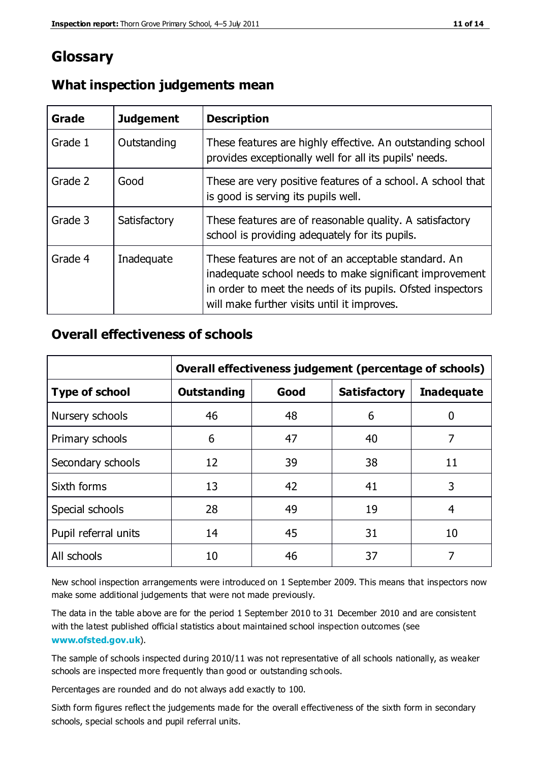# **Glossary**

| Grade   | <b>Judgement</b> | <b>Description</b>                                                                                                                                                                                                            |
|---------|------------------|-------------------------------------------------------------------------------------------------------------------------------------------------------------------------------------------------------------------------------|
| Grade 1 | Outstanding      | These features are highly effective. An outstanding school<br>provides exceptionally well for all its pupils' needs.                                                                                                          |
| Grade 2 | Good             | These are very positive features of a school. A school that<br>is good is serving its pupils well.                                                                                                                            |
| Grade 3 | Satisfactory     | These features are of reasonable quality. A satisfactory<br>school is providing adequately for its pupils.                                                                                                                    |
| Grade 4 | Inadequate       | These features are not of an acceptable standard. An<br>inadequate school needs to make significant improvement<br>in order to meet the needs of its pupils. Ofsted inspectors<br>will make further visits until it improves. |

#### **What inspection judgements mean**

#### **Overall effectiveness of schools**

|                       | Overall effectiveness judgement (percentage of schools) |      |                     |                   |
|-----------------------|---------------------------------------------------------|------|---------------------|-------------------|
| <b>Type of school</b> | <b>Outstanding</b>                                      | Good | <b>Satisfactory</b> | <b>Inadequate</b> |
| Nursery schools       | 46                                                      | 48   | 6                   |                   |
| Primary schools       | 6                                                       | 47   | 40                  | 7                 |
| Secondary schools     | 12                                                      | 39   | 38                  | 11                |
| Sixth forms           | 13                                                      | 42   | 41                  | 3                 |
| Special schools       | 28                                                      | 49   | 19                  | 4                 |
| Pupil referral units  | 14                                                      | 45   | 31                  | 10                |
| All schools           | 10                                                      | 46   | 37                  |                   |

New school inspection arrangements were introduced on 1 September 2009. This means that inspectors now make some additional judgements that were not made previously.

The data in the table above are for the period 1 September 2010 to 31 December 2010 and are consistent with the latest published official statistics about maintained school inspection outcomes (see **[www.ofsted.gov.uk](http://www.ofsted.gov.uk/)**).

The sample of schools inspected during 2010/11 was not representative of all schools nationally, as weaker schools are inspected more frequently than good or outstanding schools.

Percentages are rounded and do not always add exactly to 100.

Sixth form figures reflect the judgements made for the overall effectiveness of the sixth form in secondary schools, special schools and pupil referral units.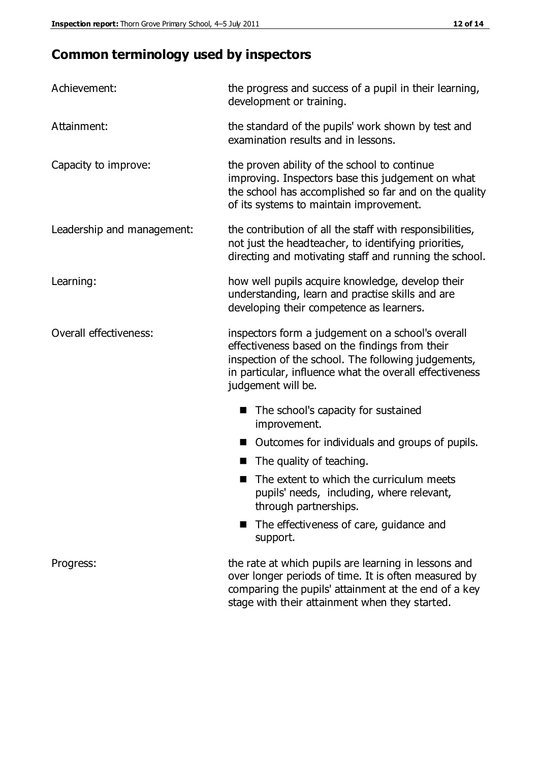# **Common terminology used by inspectors**

| Achievement:               | the progress and success of a pupil in their learning,<br>development or training.                                                                                                                                                          |  |  |
|----------------------------|---------------------------------------------------------------------------------------------------------------------------------------------------------------------------------------------------------------------------------------------|--|--|
| Attainment:                | the standard of the pupils' work shown by test and<br>examination results and in lessons.                                                                                                                                                   |  |  |
| Capacity to improve:       | the proven ability of the school to continue<br>improving. Inspectors base this judgement on what<br>the school has accomplished so far and on the quality<br>of its systems to maintain improvement.                                       |  |  |
| Leadership and management: | the contribution of all the staff with responsibilities,<br>not just the headteacher, to identifying priorities,<br>directing and motivating staff and running the school.                                                                  |  |  |
| Learning:                  | how well pupils acquire knowledge, develop their<br>understanding, learn and practise skills and are<br>developing their competence as learners.                                                                                            |  |  |
| Overall effectiveness:     | inspectors form a judgement on a school's overall<br>effectiveness based on the findings from their<br>inspection of the school. The following judgements,<br>in particular, influence what the overall effectiveness<br>judgement will be. |  |  |
|                            | The school's capacity for sustained<br>improvement.                                                                                                                                                                                         |  |  |
|                            | Outcomes for individuals and groups of pupils.                                                                                                                                                                                              |  |  |
|                            | The quality of teaching.                                                                                                                                                                                                                    |  |  |
|                            | The extent to which the curriculum meets<br>pupils' needs, including, where relevant,<br>through partnerships.                                                                                                                              |  |  |
|                            | The effectiveness of care, guidance and<br>support.                                                                                                                                                                                         |  |  |
| Progress:                  | the rate at which pupils are learning in lessons and<br>over longer periods of time. It is often measured by<br>comparing the pupils' attainment at the end of a key                                                                        |  |  |

stage with their attainment when they started.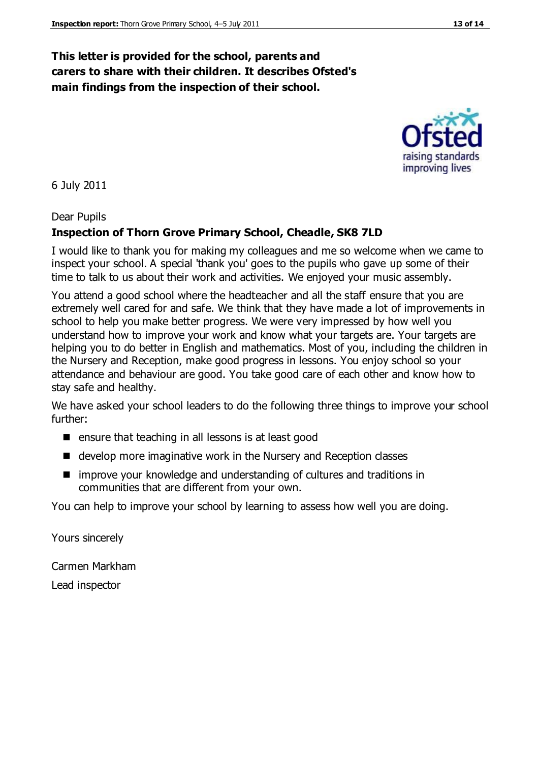#### **This letter is provided for the school, parents and carers to share with their children. It describes Ofsted's main findings from the inspection of their school.**

6 July 2011

#### Dear Pupils

#### **Inspection of Thorn Grove Primary School, Cheadle, SK8 7LD**

I would like to thank you for making my colleagues and me so welcome when we came to inspect your school. A special 'thank you' goes to the pupils who gave up some of their time to talk to us about their work and activities. We enjoyed your music assembly.

You attend a good school where the headteacher and all the staff ensure that you are extremely well cared for and safe. We think that they have made a lot of improvements in school to help you make better progress. We were very impressed by how well you understand how to improve your work and know what your targets are. Your targets are helping you to do better in English and mathematics. Most of you, including the children in the Nursery and Reception, make good progress in lessons. You enjoy school so your attendance and behaviour are good. You take good care of each other and know how to stay safe and healthy.

We have asked your school leaders to do the following three things to improve your school further:

- $\blacksquare$  ensure that teaching in all lessons is at least good
- develop more imaginative work in the Nursery and Reception classes
- improve your knowledge and understanding of cultures and traditions in communities that are different from your own.

You can help to improve your school by learning to assess how well you are doing.

Yours sincerely

Carmen Markham Lead inspector